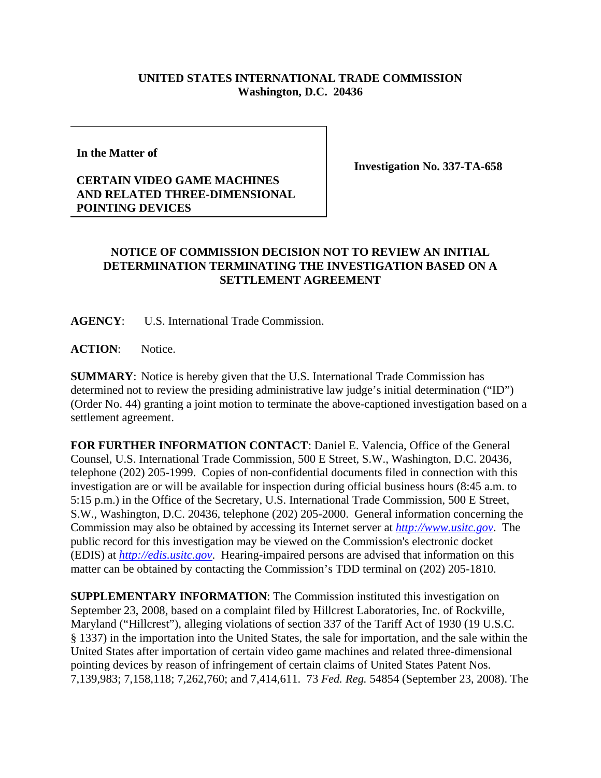## **UNITED STATES INTERNATIONAL TRADE COMMISSION Washington, D.C. 20436**

**In the Matter of** 

**CERTAIN VIDEO GAME MACHINES AND RELATED THREE-DIMENSIONAL POINTING DEVICES**

**Investigation No. 337-TA-658**

## **NOTICE OF COMMISSION DECISION NOT TO REVIEW AN INITIAL DETERMINATION TERMINATING THE INVESTIGATION BASED ON A SETTLEMENT AGREEMENT**

**AGENCY**: U.S. International Trade Commission.

ACTION: Notice.

**SUMMARY**: Notice is hereby given that the U.S. International Trade Commission has determined not to review the presiding administrative law judge's initial determination ("ID") (Order No. 44) granting a joint motion to terminate the above-captioned investigation based on a settlement agreement.

**FOR FURTHER INFORMATION CONTACT**: Daniel E. Valencia, Office of the General Counsel, U.S. International Trade Commission, 500 E Street, S.W., Washington, D.C. 20436, telephone (202) 205-1999. Copies of non-confidential documents filed in connection with this investigation are or will be available for inspection during official business hours (8:45 a.m. to 5:15 p.m.) in the Office of the Secretary, U.S. International Trade Commission, 500 E Street, S.W., Washington, D.C. 20436, telephone (202) 205-2000. General information concerning the Commission may also be obtained by accessing its Internet server at *http://www.usitc.gov*. The public record for this investigation may be viewed on the Commission's electronic docket (EDIS) at *http://edis.usitc.gov*. Hearing-impaired persons are advised that information on this matter can be obtained by contacting the Commission's TDD terminal on (202) 205-1810.

**SUPPLEMENTARY INFORMATION**: The Commission instituted this investigation on September 23, 2008, based on a complaint filed by Hillcrest Laboratories, Inc. of Rockville, Maryland ("Hillcrest"), alleging violations of section 337 of the Tariff Act of 1930 (19 U.S.C. § 1337) in the importation into the United States, the sale for importation, and the sale within the United States after importation of certain video game machines and related three-dimensional pointing devices by reason of infringement of certain claims of United States Patent Nos. 7,139,983; 7,158,118; 7,262,760; and 7,414,611. 73 *Fed. Reg.* 54854 (September 23, 2008). The